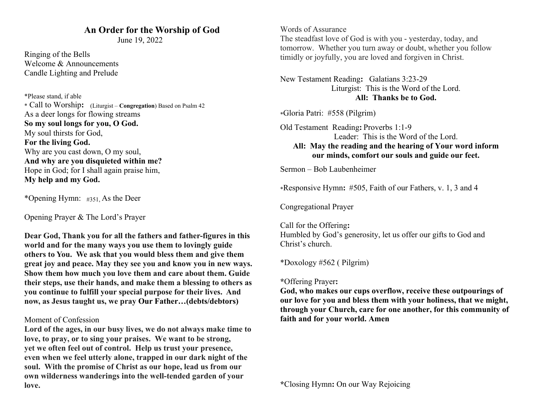### **An Order for the Worship of God**

June 19, 2022

Ringing of the Bells Welcome & Announcements Candle Lighting and Prelude

 \*Please stand, if able \* Call to Worship**:**(Liturgist – **Congregation**) Based on Psalm 42 As a deer longs for flowing streams **So my soul longs for you, O God.** My soul thirsts for God, **For the living God.** Why are you cast down, O my soul, **And why are you disquieted within me?** Hope in God; for I shall again praise him, **My help and my God.**

\*Opening Hymn:#351, As the Deer

Opening Prayer & The Lord's Prayer

**Dear God, Thank you for all the fathers and father-figures in this world and for the many ways you use them to lovingly guide others to You. We ask that you would bless them and give them great joy and peace. May they see you and know you in new ways. Show them how much you love them and care about them. Guide their steps, use their hands, and make them a blessing to others as you continue to fulfill your special purpose for their lives. And now, as Jesus taught us, we pray Our Father…(debts/debtors)**

#### Moment of Confession

**Lord of the ages, in our busy lives, we do not always make time to love, to pray, or to sing your praises. We want to be strong, yet we often feel out of control. Help us trust your presence, even when we feel utterly alone, trapped in our dark night of the soul. With the promise of Christ as our hope, lead us from our own wilderness wanderings into the well-tended garden of your love.**

Words of Assurance The steadfast love of God is with you - yesterday, today, and tomorrow. Whether you turn away or doubt, whether you follow timidly or joyfully, you are loved and forgiven in Christ.

New Testament Reading**:** Galatians 3:23-29 Liturgist: This is the Word of the Lord. **All: Thanks be to God.**

\*Gloria Patri: #558 (Pilgrim)

Old Testament Reading**:** Proverbs 1:1-9 Leader: This is the Word of the Lord. **All: May the reading and the hearing of Your word inform our minds, comfort our souls and guide our feet.**

Sermon – Bob Laubenheimer

\*Responsive Hymn**:** #505, Faith of our Fathers, v. 1, 3 and 4

Congregational Prayer

Call for the Offering**:** Humbled by God's generosity, let us offer our gifts to God and Christ's church.

\*Doxology #562 ( Pilgrim)

**\***Offering Prayer**:**

**God, who makes our cups overflow, receive these outpourings of our love for you and bless them with your holiness, that we might, through your Church, care for one another, for this community of faith and for your world. Amen**

**\***Closing Hymn**:** On our Way Rejoicing